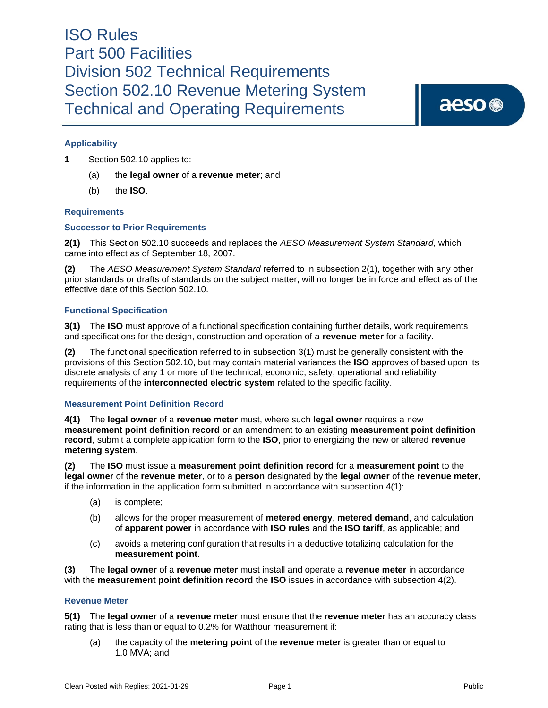aeso<sup>®</sup>

### **Applicability**

**1** Section 502.10 applies to:

- (a) the **legal owner** of a **revenue meter**; and
- (b) the **ISO**.

#### **Requirements**

#### **Successor to Prior Requirements**

**2(1)** This Section 502.10 succeeds and replaces the *AESO Measurement System Standard*, which came into effect as of September 18, 2007.

**(2)** The *AESO Measurement System Standard* referred to in subsection 2(1), together with any other prior standards or drafts of standards on the subject matter, will no longer be in force and effect as of the effective date of this Section 502.10.

#### **Functional Specification**

**3(1)** The **ISO** must approve of a functional specification containing further details, work requirements and specifications for the design, construction and operation of a **revenue meter** for a facility.

**(2)** The functional specification referred to in subsection 3(1) must be generally consistent with the provisions of this Section 502.10, but may contain material variances the **ISO** approves of based upon its discrete analysis of any 1 or more of the technical, economic, safety, operational and reliability requirements of the **interconnected electric system** related to the specific facility.

#### **Measurement Point Definition Record**

**4(1)** The **legal owner** of a **revenue meter** must, where such **legal owner** requires a new **measurement point definition record** or an amendment to an existing **measurement point definition record**, submit a complete application form to the **ISO**, prior to energizing the new or altered **revenue metering system**.

**(2)** The **ISO** must issue a **measurement point definition record** for a **measurement point** to the **legal owner** of the **revenue meter**, or to a **person** designated by the **legal owner** of the **revenue meter**, if the information in the application form submitted in accordance with subsection 4(1):

- (a) is complete;
- (b) allows for the proper measurement of **metered energy**, **metered demand**, and calculation of **apparent power** in accordance with **ISO rules** and the **ISO tariff**, as applicable; and
- (c) avoids a metering configuration that results in a deductive totalizing calculation for the **measurement point**.

**(3)** The **legal owner** of a **revenue meter** must install and operate a **revenue meter** in accordance with the **measurement point definition record** the **ISO** issues in accordance with subsection 4(2).

#### **Revenue Meter**

**5(1)** The **legal owner** of a **revenue meter** must ensure that the **revenue meter** has an accuracy class rating that is less than or equal to 0.2% for Watthour measurement if:

(a) the capacity of the **metering point** of the **revenue meter** is greater than or equal to 1.0 MVA; and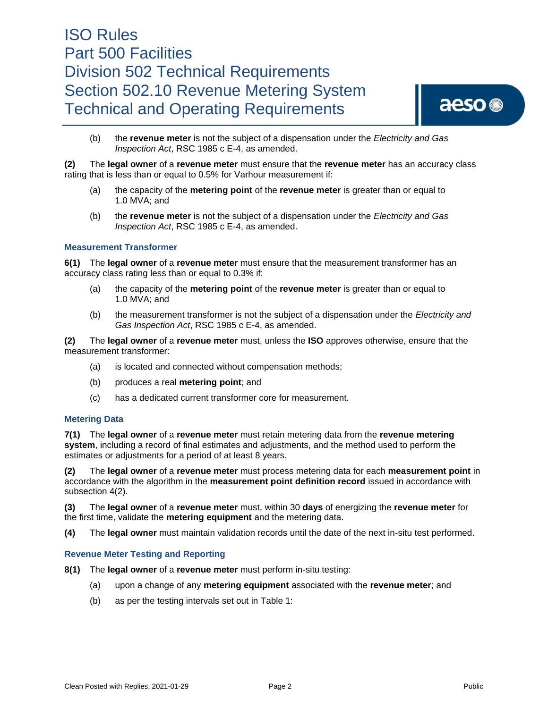

(b) the **revenue meter** is not the subject of a dispensation under the *Electricity and Gas Inspection Act*, RSC 1985 c E-4, as amended.

**(2)** The **legal owner** of a **revenue meter** must ensure that the **revenue meter** has an accuracy class rating that is less than or equal to 0.5% for Varhour measurement if:

- (a) the capacity of the **metering point** of the **revenue meter** is greater than or equal to 1.0 MVA; and
- (b) the **revenue meter** is not the subject of a dispensation under the *Electricity and Gas Inspection Act*, RSC 1985 c E-4, as amended.

#### **Measurement Transformer**

**6(1)** The **legal owner** of a **revenue meter** must ensure that the measurement transformer has an accuracy class rating less than or equal to 0.3% if:

- (a) the capacity of the **metering point** of the **revenue meter** is greater than or equal to 1.0 MVA; and
- (b) the measurement transformer is not the subject of a dispensation under the *Electricity and Gas Inspection Act*, RSC 1985 c E-4, as amended.

**(2)** The **legal owner** of a **revenue meter** must, unless the **ISO** approves otherwise, ensure that the measurement transformer:

- (a) is located and connected without compensation methods;
- (b) produces a real **metering point**; and
- (c) has a dedicated current transformer core for measurement.

#### **Metering Data**

**7(1)** The **legal owner** of a **revenue meter** must retain metering data from the **revenue metering system**, including a record of final estimates and adjustments, and the method used to perform the estimates or adjustments for a period of at least 8 years.

**(2)** The **legal owner** of a **revenue meter** must process metering data for each **measurement point** in accordance with the algorithm in the **measurement point definition record** issued in accordance with subsection 4(2).

**(3)** The **legal owner** of a **revenue meter** must, within 30 **days** of energizing the **revenue meter** for the first time, validate the **metering equipment** and the metering data.

**(4)** The **legal owner** must maintain validation records until the date of the next in-situ test performed.

#### **Revenue Meter Testing and Reporting**

- **8(1)** The **legal owner** of a **revenue meter** must perform in-situ testing:
	- (a) upon a change of any **metering equipment** associated with the **revenue meter**; and
	- (b) as per the testing intervals set out in Table 1: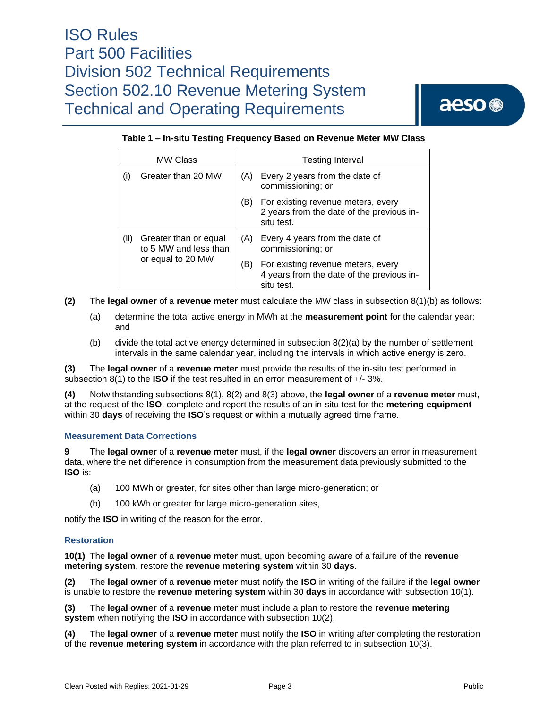aeso<sup>®</sup>

### **Table 1 – In-situ Testing Frequency Based on Revenue Meter MW Class**

| <b>MW Class</b> |                                                                     | <b>Testing Interval</b> |                                                                                               |
|-----------------|---------------------------------------------------------------------|-------------------------|-----------------------------------------------------------------------------------------------|
| (i)             | Greater than 20 MW                                                  | (A)                     | Every 2 years from the date of<br>commissioning; or                                           |
|                 |                                                                     | (B)                     | For existing revenue meters, every<br>2 years from the date of the previous in-<br>situ test. |
| (ii)            | Greater than or equal<br>to 5 MW and less than<br>or equal to 20 MW | (A)                     | Every 4 years from the date of<br>commissioning; or                                           |
|                 |                                                                     | (B)                     | For existing revenue meters, every<br>4 years from the date of the previous in-<br>situ test. |

**(2)** The **legal owner** of a **revenue meter** must calculate the MW class in subsection 8(1)(b) as follows:

- (a) determine the total active energy in MWh at the **measurement point** for the calendar year; and
- (b) divide the total active energy determined in subsection 8(2)(a) by the number of settlement intervals in the same calendar year, including the intervals in which active energy is zero.

**(3)** The **legal owner** of a **revenue meter** must provide the results of the in-situ test performed in subsection 8(1) to the **ISO** if the test resulted in an error measurement of +/- 3%.

**(4)** Notwithstanding subsections 8(1), 8(2) and 8(3) above, the **legal owner** of a **revenue meter** must, at the request of the **ISO**, complete and report the results of an in-situ test for the **metering equipment** within 30 **days** of receiving the **ISO**'s request or within a mutually agreed time frame.

#### **Measurement Data Corrections**

**9** The **legal owner** of a **revenue meter** must, if the **legal owner** discovers an error in measurement data, where the net difference in consumption from the measurement data previously submitted to the **ISO** is:

- (a) 100 MWh or greater, for sites other than large micro-generation; or
- (b) 100 kWh or greater for large micro-generation sites,

notify the **ISO** in writing of the reason for the error.

#### **Restoration**

**10(1)** The **legal owner** of a **revenue meter** must, upon becoming aware of a failure of the **revenue metering system**, restore the **revenue metering system** within 30 **days**.

**(2)** The **legal owner** of a **revenue meter** must notify the **ISO** in writing of the failure if the **legal owner** is unable to restore the **revenue metering system** within 30 **days** in accordance with subsection 10(1).

**(3)** The **legal owner** of a **revenue meter** must include a plan to restore the **revenue metering system** when notifying the **ISO** in accordance with subsection 10(2).

**(4)** The **legal owner** of a **revenue meter** must notify the **ISO** in writing after completing the restoration of the **revenue metering system** in accordance with the plan referred to in subsection 10(3).